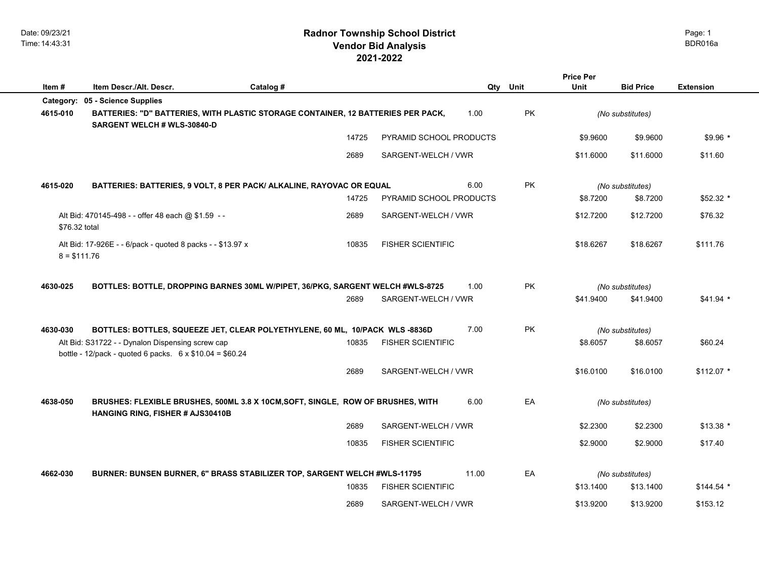|               |                                                                                                                     |           |       |                          |          |           | <b>Price Per</b> |                  |                  |
|---------------|---------------------------------------------------------------------------------------------------------------------|-----------|-------|--------------------------|----------|-----------|------------------|------------------|------------------|
| Item#         | Item Descr./Alt. Descr.                                                                                             | Catalog # |       |                          | Qty Unit |           | <b>Unit</b>      | <b>Bid Price</b> | <b>Extension</b> |
| Category:     | 05 - Science Supplies                                                                                               |           |       |                          |          |           |                  |                  |                  |
| 4615-010      | BATTERIES: "D" BATTERIES, WITH PLASTIC STORAGE CONTAINER, 12 BATTERIES PER PACK,<br>SARGENT WELCH # WLS-30840-D     |           |       |                          | 1.00     | PK        |                  | (No substitutes) |                  |
|               |                                                                                                                     |           | 14725 | PYRAMID SCHOOL PRODUCTS  |          |           | \$9.9600         | \$9.9600         | $$9.96*$         |
|               |                                                                                                                     |           | 2689  | SARGENT-WELCH / VWR      |          |           | \$11,6000        | \$11.6000        | \$11.60          |
| 4615-020      | BATTERIES: BATTERIES, 9 VOLT, 8 PER PACK/ ALKALINE, RAYOVAC OR EQUAL                                                |           |       |                          | 6.00     | <b>PK</b> |                  | (No substitutes) |                  |
|               |                                                                                                                     |           | 14725 | PYRAMID SCHOOL PRODUCTS  |          |           | \$8.7200         | \$8.7200         | \$52.32 *        |
| \$76.32 total | Alt Bid: 470145-498 - - offer 48 each @ \$1.59 - -                                                                  |           | 2689  | SARGENT-WELCH / VWR      |          |           | \$12,7200        | \$12,7200        | \$76.32          |
| $8 = $111.76$ | Alt Bid: 17-926E - - 6/pack - quoted 8 packs - - \$13.97 x                                                          |           | 10835 | <b>FISHER SCIENTIFIC</b> |          |           | \$18.6267        | \$18.6267        | \$111.76         |
| 4630-025      | BOTTLES: BOTTLE, DROPPING BARNES 30ML W/PIPET, 36/PKG, SARGENT WELCH #WLS-8725                                      |           |       |                          | 1.00     | <b>PK</b> |                  | (No substitutes) |                  |
|               |                                                                                                                     |           | 2689  | SARGENT-WELCH / VWR      |          |           | \$41.9400        | \$41.9400        | $$41.94$ *       |
| 4630-030      | BOTTLES: BOTTLES, SQUEEZE JET, CLEAR POLYETHYLENE, 60 ML, 10/PACK WLS -8836D                                        |           |       |                          | 7.00     | PK        |                  | (No substitutes) |                  |
|               | Alt Bid: S31722 - - Dynalon Dispensing screw cap<br>bottle - 12/pack - quoted 6 packs. $6 \times $10.04 = $60.24$   |           | 10835 | <b>FISHER SCIENTIFIC</b> |          |           | \$8.6057         | \$8.6057         | \$60.24          |
|               |                                                                                                                     |           | 2689  | SARGENT-WELCH / VWR      |          |           | \$16.0100        | \$16,0100        | $$112.07$ *      |
| 4638-050      | BRUSHES: FLEXIBLE BRUSHES, 500ML 3.8 X 10CM, SOFT, SINGLE, ROW OF BRUSHES, WITH<br>HANGING RING, FISHER # AJS30410B |           |       | 6.00                     | EA       |           | (No substitutes) |                  |                  |
|               |                                                                                                                     |           | 2689  | SARGENT-WELCH / VWR      |          |           | \$2.2300         | \$2.2300         | $$13.38$ *       |
|               |                                                                                                                     |           | 10835 | <b>FISHER SCIENTIFIC</b> |          |           | \$2.9000         | \$2.9000         | \$17.40          |
| 4662-030      | BURNER: BUNSEN BURNER, 6" BRASS STABILIZER TOP, SARGENT WELCH #WLS-11795                                            |           |       |                          | 11.00    | EA        |                  | (No substitutes) |                  |
|               |                                                                                                                     |           | 10835 | <b>FISHER SCIENTIFIC</b> |          |           | \$13.1400        | \$13.1400        | $$144.54$ *      |
|               |                                                                                                                     |           | 2689  | SARGENT-WELCH / VWR      |          |           | \$13.9200        | \$13.9200        | \$153.12         |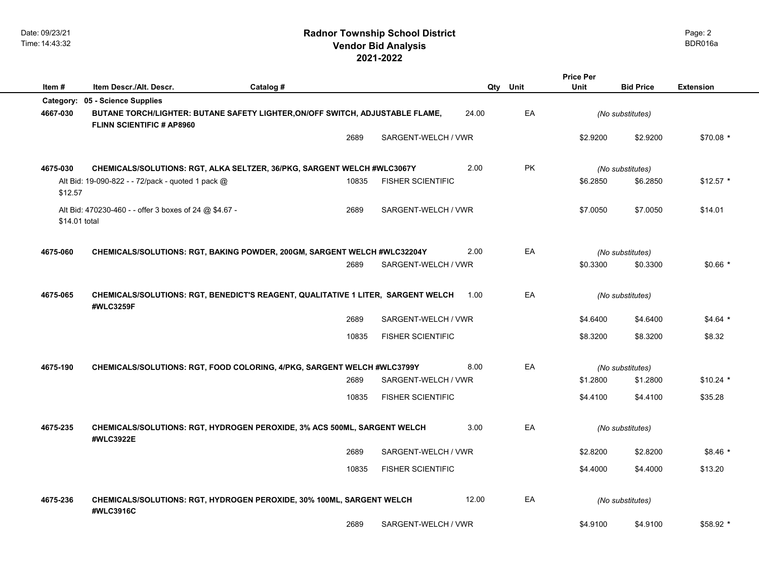|               |                                                                                                                   |           |       |                          |       |                  | <b>Price Per</b> |                  |                  |
|---------------|-------------------------------------------------------------------------------------------------------------------|-----------|-------|--------------------------|-------|------------------|------------------|------------------|------------------|
| Item#         | Item Descr./Alt. Descr.                                                                                           | Catalog # |       |                          | Qty   | Unit             | Unit             | <b>Bid Price</b> | <b>Extension</b> |
|               | Category: 05 - Science Supplies                                                                                   |           |       |                          |       |                  |                  |                  |                  |
| 4667-030      | BUTANE TORCH/LIGHTER: BUTANE SAFETY LIGHTER, ON/OFF SWITCH, ADJUSTABLE FLAME,<br><b>FLINN SCIENTIFIC # AP8960</b> |           |       |                          | 24.00 | EA               |                  | (No substitutes) |                  |
|               |                                                                                                                   |           | 2689  | SARGENT-WELCH / VWR      |       |                  | \$2.9200         | \$2.9200         | \$70.08 *        |
| 4675-030      | CHEMICALS/SOLUTIONS: RGT, ALKA SELTZER, 36/PKG, SARGENT WELCH #WLC3067Y                                           |           |       |                          | 2.00  | <b>PK</b>        |                  | (No substitutes) |                  |
| \$12.57       | Alt Bid: 19-090-822 - - 72/pack - quoted 1 pack @                                                                 |           | 10835 | <b>FISHER SCIENTIFIC</b> |       |                  | \$6.2850         | \$6.2850         | $$12.57$ *       |
| \$14.01 total | Alt Bid: 470230-460 - - offer 3 boxes of 24 @ \$4.67 -                                                            |           | 2689  | SARGENT-WELCH / VWR      |       |                  | \$7,0050         | \$7.0050         | \$14.01          |
| 4675-060      | CHEMICALS/SOLUTIONS: RGT, BAKING POWDER, 200GM, SARGENT WELCH #WLC32204Y                                          |           |       |                          | 2.00  | EA               |                  | (No substitutes) |                  |
|               |                                                                                                                   |           | 2689  | SARGENT-WELCH / VWR      |       |                  | \$0.3300         | \$0.3300         | $$0.66*$         |
| 4675-065      | CHEMICALS/SOLUTIONS: RGT, BENEDICT'S REAGENT, QUALITATIVE 1 LITER, SARGENT WELCH<br>#WLC3259F                     |           | 1.00  | EA                       |       | (No substitutes) |                  |                  |                  |
|               |                                                                                                                   |           | 2689  | SARGENT-WELCH / VWR      |       |                  | \$4.6400         | \$4.6400         | $$4.64*$         |
|               |                                                                                                                   |           | 10835 | <b>FISHER SCIENTIFIC</b> |       |                  | \$8.3200         | \$8.3200         | \$8.32           |
| 4675-190      | CHEMICALS/SOLUTIONS: RGT, FOOD COLORING, 4/PKG, SARGENT WELCH #WLC3799Y                                           |           |       |                          | 8.00  | EA               | (No substitutes) |                  |                  |
|               |                                                                                                                   |           | 2689  | SARGENT-WELCH / VWR      |       |                  | \$1.2800         | \$1.2800         | $$10.24$ *       |
|               |                                                                                                                   |           | 10835 | <b>FISHER SCIENTIFIC</b> |       |                  | \$4.4100         | \$4.4100         | \$35.28          |
| 4675-235      | CHEMICALS/SOLUTIONS: RGT, HYDROGEN PEROXIDE, 3% ACS 500ML, SARGENT WELCH<br>#WLC3922E                             |           | 3.00  | EA                       |       | (No substitutes) |                  |                  |                  |
|               |                                                                                                                   |           | 2689  | SARGENT-WELCH / VWR      |       |                  | \$2.8200         | \$2.8200         | \$8.46 *         |
|               |                                                                                                                   |           | 10835 | <b>FISHER SCIENTIFIC</b> |       |                  | \$4,4000         | \$4.4000         | \$13.20          |
| 4675-236      | CHEMICALS/SOLUTIONS: RGT, HYDROGEN PEROXIDE, 30% 100ML, SARGENT WELCH<br>#WLC3916C                                |           |       |                          | 12.00 | EA               |                  | (No substitutes) |                  |
|               |                                                                                                                   |           | 2689  | SARGENT-WELCH / VWR      |       |                  | \$4.9100         | \$4.9100         | \$58.92 *        |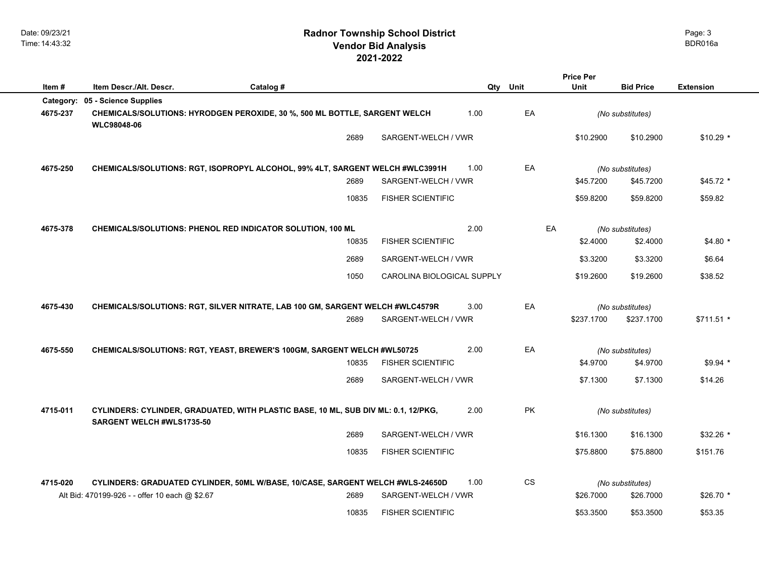|           |                                                            |                                                                                    |                            |                        | <b>Price Per</b> |                  |                  |
|-----------|------------------------------------------------------------|------------------------------------------------------------------------------------|----------------------------|------------------------|------------------|------------------|------------------|
| Item#     | Item Descr./Alt. Descr.                                    | Catalog #                                                                          | Qty                        | Unit                   | Unit             | <b>Bid Price</b> | <b>Extension</b> |
| Category: | 05 - Science Supplies                                      |                                                                                    |                            |                        |                  |                  |                  |
| 4675-237  | <b>WLC98048-06</b>                                         | CHEMICALS/SOLUTIONS: HYRODGEN PEROXIDE, 30 %, 500 ML BOTTLE, SARGENT WELCH         | 1.00                       | EA                     |                  | (No substitutes) |                  |
|           |                                                            | 2689                                                                               | SARGENT-WELCH / VWR        |                        | \$10.2900        | \$10.2900        | $$10.29$ *       |
| 4675-250  |                                                            | CHEMICALS/SOLUTIONS: RGT, ISOPROPYL ALCOHOL, 99% 4LT, SARGENT WELCH #WLC3991H      | 1.00                       | EA                     |                  | (No substitutes) |                  |
|           |                                                            | 2689                                                                               | SARGENT-WELCH / VWR        |                        | \$45.7200        | \$45.7200        | $$45.72$ *       |
|           |                                                            | 10835                                                                              | <b>FISHER SCIENTIFIC</b>   |                        | \$59.8200        | \$59.8200        | \$59.82          |
| 4675-378  | CHEMICALS/SOLUTIONS: PHENOL RED INDICATOR SOLUTION, 100 ML |                                                                                    | 2.00                       | EA                     |                  | (No substitutes) |                  |
|           |                                                            | 10835                                                                              | <b>FISHER SCIENTIFIC</b>   |                        | \$2.4000         | \$2.4000         | $$4.80*$         |
|           |                                                            | 2689                                                                               | SARGENT-WELCH / VWR        |                        | \$3.3200         | \$3.3200         | \$6.64           |
|           |                                                            | 1050                                                                               | CAROLINA BIOLOGICAL SUPPLY |                        | \$19.2600        | \$19.2600        | \$38.52          |
| 4675-430  |                                                            | CHEMICALS/SOLUTIONS: RGT, SILVER NITRATE, LAB 100 GM, SARGENT WELCH #WLC4579R      | 3.00                       | EA                     |                  | (No substitutes) |                  |
|           |                                                            | 2689                                                                               | SARGENT-WELCH / VWR        |                        | \$237.1700       | \$237.1700       | \$711.51 *       |
| 4675-550  |                                                            | CHEMICALS/SOLUTIONS: RGT, YEAST, BREWER'S 100GM, SARGENT WELCH #WL50725            | 2.00                       | EA                     |                  | (No substitutes) |                  |
|           |                                                            | 10835                                                                              | <b>FISHER SCIENTIFIC</b>   |                        | \$4.9700         | \$4.9700         | $$9.94$ *        |
|           |                                                            | 2689                                                                               | SARGENT-WELCH / VWR        |                        | \$7.1300         | \$7.1300         | \$14.26          |
| 4715-011  | SARGENT WELCH #WLS1735-50                                  | CYLINDERS: CYLINDER, GRADUATED, WITH PLASTIC BASE, 10 ML, SUB DIV ML: 0.1, 12/PKG, | 2.00                       | PK                     |                  | (No substitutes) |                  |
|           |                                                            | 2689                                                                               | SARGENT-WELCH / VWR        |                        | \$16.1300        | \$16.1300        | $$32.26$ *       |
|           |                                                            | 10835                                                                              | <b>FISHER SCIENTIFIC</b>   |                        | \$75.8800        | \$75.8800        | \$151.76         |
| 4715-020  |                                                            | CYLINDERS: GRADUATED CYLINDER, 50ML W/BASE, 10/CASE, SARGENT WELCH #WLS-24650D     | 1.00                       | $\mathbb{C}\mathbb{S}$ |                  | (No substitutes) |                  |
|           | Alt Bid: 470199-926 - - offer 10 each @ \$2.67             | 2689                                                                               | SARGENT-WELCH / VWR        |                        | \$26,7000        | \$26.7000        | $$26.70*$        |
|           |                                                            | 10835                                                                              | <b>FISHER SCIENTIFIC</b>   |                        | \$53,3500        | \$53.3500        | \$53.35          |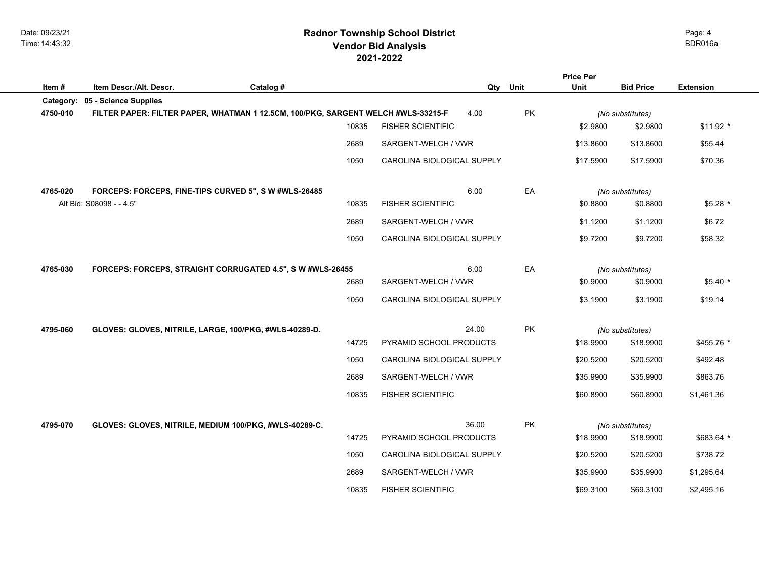Date: 09/23/21 Time: 14:43:32

## **2021-2022 Radnor Township School District Vendor Bid Analysis** BDR016a

|           |                                                                                   |           |       |                            |          |    | <b>Price Per</b> |                  |                  |
|-----------|-----------------------------------------------------------------------------------|-----------|-------|----------------------------|----------|----|------------------|------------------|------------------|
| Item#     | Item Descr./Alt. Descr.                                                           | Catalog # |       |                            | Qty Unit |    | Unit             | <b>Bid Price</b> | <b>Extension</b> |
| Category: | 05 - Science Supplies                                                             |           |       |                            |          |    |                  |                  |                  |
| 4750-010  | FILTER PAPER: FILTER PAPER, WHATMAN 1 12.5CM, 100/PKG, SARGENT WELCH #WLS-33215-F |           |       |                            | 4.00     | PK |                  | (No substitutes) |                  |
|           |                                                                                   |           | 10835 | <b>FISHER SCIENTIFIC</b>   |          |    | \$2.9800         | \$2.9800         | $$11.92$ *       |
|           |                                                                                   |           | 2689  | SARGENT-WELCH / VWR        |          |    | \$13,8600        | \$13.8600        | \$55.44          |
|           |                                                                                   |           | 1050  | CAROLINA BIOLOGICAL SUPPLY |          |    | \$17.5900        | \$17.5900        | \$70.36          |
| 4765-020  | FORCEPS: FORCEPS, FINE-TIPS CURVED 5", SW#WLS-26485                               |           |       |                            | 6.00     | EA |                  | (No substitutes) |                  |
|           | Alt Bid: S08098 - - 4.5"                                                          |           | 10835 | <b>FISHER SCIENTIFIC</b>   |          |    | \$0.8800         | \$0.8800         | \$5.28 *         |
|           |                                                                                   |           | 2689  | SARGENT-WELCH / VWR        |          |    | \$1.1200         | \$1.1200         | \$6.72           |
|           |                                                                                   |           | 1050  | CAROLINA BIOLOGICAL SUPPLY |          |    | \$9.7200         | \$9.7200         | \$58.32          |
| 4765-030  | FORCEPS: FORCEPS, STRAIGHT CORRUGATED 4.5", S W #WLS-26455                        |           |       |                            | 6.00     | EA | (No substitutes) |                  |                  |
|           |                                                                                   |           | 2689  | SARGENT-WELCH / VWR        |          |    | \$0.9000         | \$0.9000         | $$5.40*$         |
|           |                                                                                   |           | 1050  | CAROLINA BIOLOGICAL SUPPLY |          |    | \$3.1900         | \$3.1900         | \$19.14          |
| 4795-060  | GLOVES: GLOVES, NITRILE, LARGE, 100/PKG, #WLS-40289-D.                            |           |       |                            | 24.00    | PK |                  | (No substitutes) |                  |
|           |                                                                                   |           | 14725 | PYRAMID SCHOOL PRODUCTS    |          |    | \$18.9900        | \$18.9900        | \$455.76 *       |
|           |                                                                                   |           | 1050  | CAROLINA BIOLOGICAL SUPPLY |          |    | \$20.5200        | \$20.5200        | \$492.48         |
|           |                                                                                   |           | 2689  | SARGENT-WELCH / VWR        |          |    | \$35.9900        | \$35.9900        | \$863.76         |
|           |                                                                                   |           | 10835 | <b>FISHER SCIENTIFIC</b>   |          |    | \$60.8900        | \$60.8900        | \$1,461.36       |
| 4795-070  | GLOVES: GLOVES, NITRILE, MEDIUM 100/PKG, #WLS-40289-C.                            |           |       |                            | 36.00    | PK |                  | (No substitutes) |                  |
|           |                                                                                   |           | 14725 | PYRAMID SCHOOL PRODUCTS    |          |    | \$18.9900        | \$18.9900        | \$683.64 *       |
|           |                                                                                   |           | 1050  | CAROLINA BIOLOGICAL SUPPLY |          |    | \$20.5200        | \$20.5200        | \$738.72         |
|           |                                                                                   |           | 2689  | SARGENT-WELCH / VWR        |          |    | \$35.9900        | \$35.9900        | \$1,295.64       |
|           |                                                                                   |           | 10835 | <b>FISHER SCIENTIFIC</b>   |          |    | \$69.3100        | \$69.3100        | \$2,495.16       |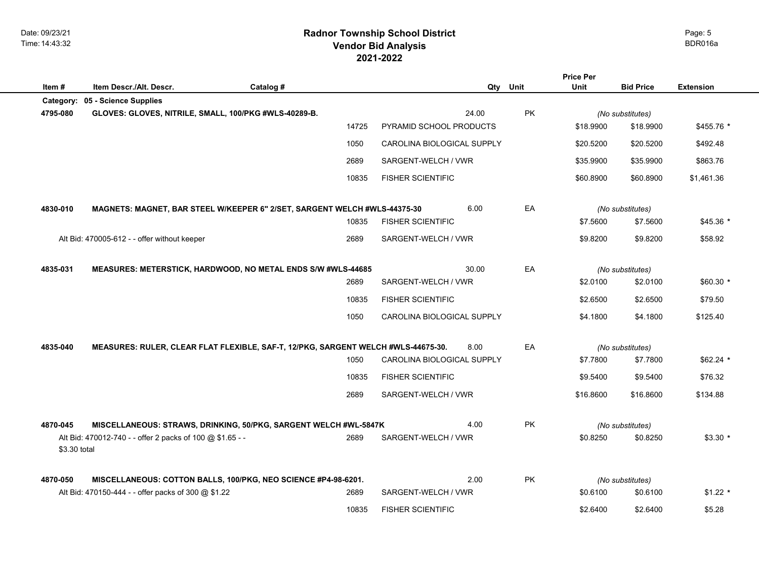Date: 09/23/21 Time: 14:43:32

## **2021-2022 Radnor Township School District Vendor Bid Analysis** BDR016a

| Item#        | Item Descr./Alt. Descr.                                   | Catalog #                                                                         |                            | Qty Unit |           | <b>Price Per</b><br>Unit | <b>Bid Price</b> | <b>Extension</b> |
|--------------|-----------------------------------------------------------|-----------------------------------------------------------------------------------|----------------------------|----------|-----------|--------------------------|------------------|------------------|
| Category:    | 05 - Science Supplies                                     |                                                                                   |                            |          |           |                          |                  |                  |
| 4795-080     | GLOVES: GLOVES, NITRILE, SMALL, 100/PKG #WLS-40289-B.     |                                                                                   |                            | 24.00    | <b>PK</b> |                          | (No substitutes) |                  |
|              |                                                           | 14725                                                                             | PYRAMID SCHOOL PRODUCTS    |          |           | \$18,9900                | \$18.9900        | \$455.76 *       |
|              |                                                           | 1050                                                                              | CAROLINA BIOLOGICAL SUPPLY |          |           | \$20.5200                | \$20.5200        | \$492.48         |
|              |                                                           | 2689                                                                              | SARGENT-WELCH / VWR        |          |           | \$35.9900                | \$35.9900        | \$863.76         |
|              |                                                           | 10835                                                                             | <b>FISHER SCIENTIFIC</b>   |          |           | \$60.8900                | \$60.8900        | \$1,461.36       |
| 4830-010     |                                                           | MAGNETS: MAGNET, BAR STEEL W/KEEPER 6" 2/SET, SARGENT WELCH #WLS-44375-30         |                            | 6.00     | EA        |                          | (No substitutes) |                  |
|              |                                                           | 10835                                                                             | <b>FISHER SCIENTIFIC</b>   |          |           | \$7.5600                 | \$7.5600         | $$45.36*$        |
|              | Alt Bid: 470005-612 - - offer without keeper              | 2689                                                                              | SARGENT-WELCH / VWR        |          |           | \$9.8200                 | \$9.8200         | \$58.92          |
| 4835-031     |                                                           | MEASURES: METERSTICK, HARDWOOD, NO METAL ENDS S/W #WLS-44685                      |                            | 30.00    | EA        |                          | (No substitutes) |                  |
|              |                                                           | 2689                                                                              | SARGENT-WELCH / VWR        |          |           | \$2.0100                 | \$2.0100         | $$60.30*$        |
|              |                                                           | 10835                                                                             | <b>FISHER SCIENTIFIC</b>   |          |           | \$2.6500                 | \$2.6500         | \$79.50          |
|              |                                                           | 1050                                                                              | CAROLINA BIOLOGICAL SUPPLY |          |           | \$4.1800                 | \$4.1800         | \$125.40         |
| 4835-040     |                                                           | MEASURES: RULER, CLEAR FLAT FLEXIBLE, SAF-T, 12/PKG, SARGENT WELCH #WLS-44675-30. |                            | 8.00     | EA        |                          | (No substitutes) |                  |
|              |                                                           | 1050                                                                              | CAROLINA BIOLOGICAL SUPPLY |          |           | \$7.7800                 | \$7.7800         | $$62.24$ *       |
|              |                                                           | 10835                                                                             | <b>FISHER SCIENTIFIC</b>   |          |           | \$9.5400                 | \$9.5400         | \$76.32          |
|              |                                                           | 2689                                                                              | SARGENT-WELCH / VWR        |          |           | \$16.8600                | \$16.8600        | \$134.88         |
| 4870-045     |                                                           | MISCELLANEOUS: STRAWS, DRINKING, 50/PKG, SARGENT WELCH #WL-5847K                  |                            | 4.00     | <b>PK</b> |                          | (No substitutes) |                  |
| \$3.30 total | Alt Bid: 470012-740 - - offer 2 packs of 100 @ \$1.65 - - | 2689                                                                              | SARGENT-WELCH / VWR        |          |           | \$0.8250                 | \$0.8250         | $$3.30*$         |
| 4870-050     |                                                           | MISCELLANEOUS: COTTON BALLS, 100/PKG, NEO SCIENCE #P4-98-6201.                    |                            | 2.00     | <b>PK</b> |                          | (No substitutes) |                  |
|              | Alt Bid: 470150-444 - - offer packs of 300 @ \$1.22       | 2689                                                                              | SARGENT-WELCH / VWR        |          |           | \$0.6100                 | \$0.6100         | $$1.22$ *        |
|              |                                                           | 10835                                                                             | <b>FISHER SCIENTIFIC</b>   |          |           | \$2.6400                 | \$2.6400         | \$5.28           |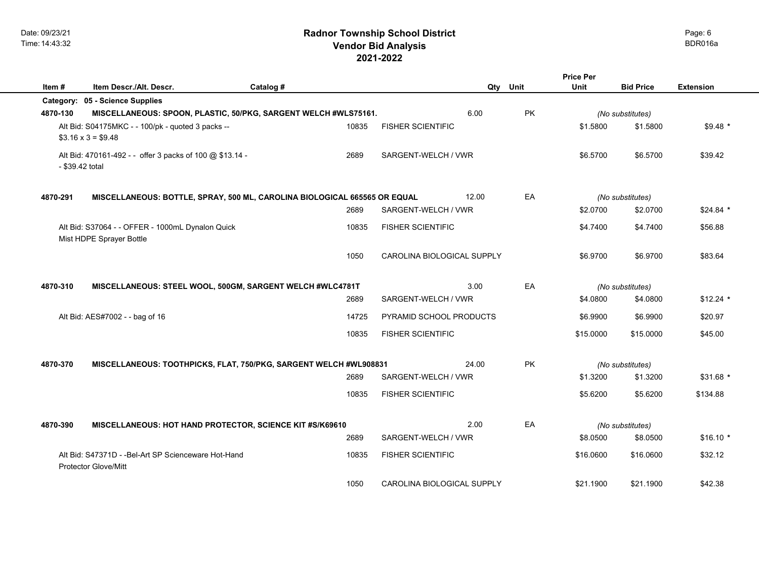|          |                                                                           |           |       |                                   |          |           | <b>Price Per</b> |                  |                  |
|----------|---------------------------------------------------------------------------|-----------|-------|-----------------------------------|----------|-----------|------------------|------------------|------------------|
| Item#    | Item Descr./Alt. Descr.                                                   | Catalog # |       |                                   | Qty Unit |           | Unit             | <b>Bid Price</b> | <b>Extension</b> |
|          | Category: 05 - Science Supplies                                           |           |       |                                   |          |           |                  |                  |                  |
| 4870-130 | MISCELLANEOUS: SPOON, PLASTIC, 50/PKG, SARGENT WELCH #WLS75161.           |           |       |                                   | 6.00     | PK        |                  | (No substitutes) |                  |
|          | Alt Bid: S04175MKC - - 100/pk - quoted 3 packs --                         |           | 10835 | <b>FISHER SCIENTIFIC</b>          |          |           | \$1.5800         | \$1.5800         | $$9.48*$         |
|          | $$3.16 \times 3 = $9.48$                                                  |           |       |                                   |          |           |                  |                  |                  |
|          | Alt Bid: 470161-492 - - offer 3 packs of 100 @ \$13.14 -                  |           | 2689  | SARGENT-WELCH / VWR               |          |           | \$6.5700         | \$6.5700         | \$39.42          |
|          | - \$39.42 total                                                           |           |       |                                   |          |           |                  |                  |                  |
| 4870-291 | MISCELLANEOUS: BOTTLE, SPRAY, 500 ML, CAROLINA BIOLOGICAL 665565 OR EQUAL |           |       |                                   | 12.00    | EA        |                  | (No substitutes) |                  |
|          |                                                                           |           | 2689  | SARGENT-WELCH / VWR               |          |           | \$2.0700         | \$2.0700         | $$24.84$ *       |
|          | Alt Bid: S37064 - - OFFER - 1000mL Dynalon Quick                          |           | 10835 | <b>FISHER SCIENTIFIC</b>          |          |           | \$4.7400         | \$4.7400         | \$56.88          |
|          | Mist HDPE Sprayer Bottle                                                  |           |       |                                   |          |           |                  |                  |                  |
|          |                                                                           |           | 1050  | CAROLINA BIOLOGICAL SUPPLY        |          |           | \$6.9700         | \$6.9700         | \$83.64          |
|          |                                                                           |           |       |                                   |          |           |                  |                  |                  |
| 4870-310 | MISCELLANEOUS: STEEL WOOL, 500GM, SARGENT WELCH #WLC4781T                 |           |       |                                   | 3.00     | EA        |                  | (No substitutes) |                  |
|          |                                                                           |           | 2689  | SARGENT-WELCH / VWR               |          |           | \$4.0800         | \$4.0800         | $$12.24$ *       |
|          | Alt Bid: AES#7002 - - bag of 16                                           |           | 14725 | PYRAMID SCHOOL PRODUCTS           |          |           | \$6.9900         | \$6.9900         | \$20.97          |
|          |                                                                           |           | 10835 | <b>FISHER SCIENTIFIC</b>          |          |           | \$15,0000        | \$15,0000        | \$45.00          |
|          |                                                                           |           |       |                                   |          |           |                  |                  |                  |
| 4870-370 | MISCELLANEOUS: TOOTHPICKS, FLAT, 750/PKG, SARGENT WELCH #WL908831         |           |       |                                   | 24.00    | <b>PK</b> |                  | (No substitutes) |                  |
|          |                                                                           |           | 2689  | SARGENT-WELCH / VWR               |          |           | \$1.3200         | \$1.3200         | $$31.68$ *       |
|          |                                                                           |           | 10835 | <b>FISHER SCIENTIFIC</b>          |          |           | \$5.6200         | \$5.6200         | \$134.88         |
| 4870-390 | MISCELLANEOUS: HOT HAND PROTECTOR, SCIENCE KIT #S/K69610                  |           |       |                                   | 2.00     | EA        |                  | (No substitutes) |                  |
|          |                                                                           |           | 2689  | SARGENT-WELCH / VWR               |          |           | \$8.0500         | \$8.0500         | $$16.10*$        |
|          | Alt Bid: S47371D - - Bel-Art SP Scienceware Hot-Hand                      |           | 10835 | <b>FISHER SCIENTIFIC</b>          |          |           | \$16,0600        | \$16,0600        | \$32.12          |
|          | <b>Protector Glove/Mitt</b>                                               |           |       |                                   |          |           |                  |                  |                  |
|          |                                                                           |           | 1050  | <b>CAROLINA BIOLOGICAL SUPPLY</b> |          |           | \$21.1900        | \$21.1900        | \$42.38          |